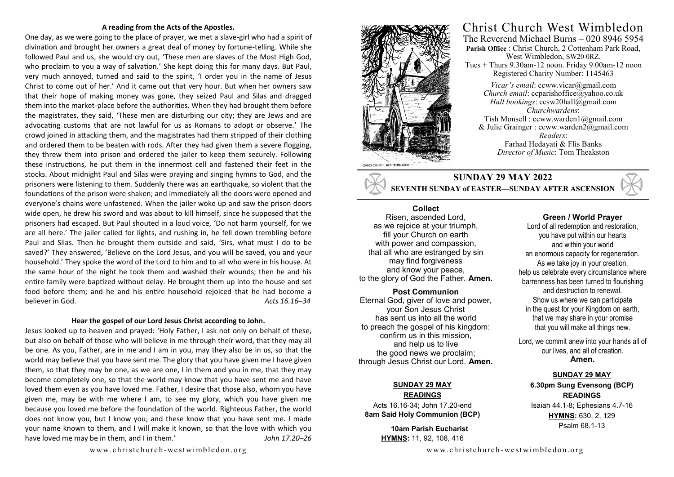#### **A reading from the Acts of the Apostles.**

One day, as we were going to the place of prayer, we met a slave-girl who had a spirit of divination and brought her owners a great deal of money by fortune-telling. While she followed Paul and us, she would cry out, 'These men are slaves of the Most High God, who proclaim to you a way of salvation.' She kept doing this for many days. But Paul, very much annoyed, turned and said to the spirit, 'I order you in the name of Jesus Christ to come out of her.' And it came out that very hour. But when her owners saw that their hope of making money was gone, they seized Paul and Silas and dragged them into the market-place before the authorities. When they had brought them before the magistrates, they said, 'These men are disturbing our city; they are Jews and are advocating customs that are not lawful for us as Romans to adopt or observe.' The crowd joined in attacking them, and the magistrates had them stripped of their clothing and ordered them to be beaten with rods. After they had given them a severe flogging, they threw them into prison and ordered the jailer to keep them securely. Following these instructions, he put them in the innermost cell and fastened their feet in the stocks. About midnight Paul and Silas were praying and singing hymns to God, and the prisoners were listening to them. Suddenly there was an earthquake, so violent that the foundations of the prison were shaken; and immediately all the doors were opened and everyone's chains were unfastened. When the jailer woke up and saw the prison doors wide open, he drew his sword and was about to kill himself, since he supposed that the prisoners had escaped. But Paul shouted in a loud voice, 'Do not harm yourself, for we are all here.' The jailer called for lights, and rushing in, he fell down trembling before Paul and Silas. Then he brought them outside and said, 'Sirs, what must I do to be saved?' They answered, 'Believe on the Lord Jesus, and you will be saved, you and your household.' They spoke the word of the Lord to him and to all who were in his house. At the same hour of the night he took them and washed their wounds; then he and his entire family were baptized without delay. He brought them up into the house and set food before them; and he and his entire household rejoiced that he had become a believer in God. *Acts 16.16–34*

#### **Hear the gospel of our Lord Jesus Christ according to John.**

Jesus looked up to heaven and prayed: 'Holy Father, I ask not only on behalf of these, but also on behalf of those who will believe in me through their word, that they may all be one. As you, Father, are in me and I am in you, may they also be in us, so that the world may believe that you have sent me. The glory that you have given me I have given them, so that they may be one, as we are one, I in them and you in me, that they may become completely one, so that the world may know that you have sent me and have loved them even as you have loved me. Father, I desire that those also, whom you have given me, may be with me where I am, to see my glory, which you have given me because you loved me before the foundation of the world. Righteous Father, the world does not know you, but I know you; and these know that you have sent me. I made your name known to them, and I will make it known, so that the love with which you have loved me may be in them, and I in them.' *John 17.20–26*



## Christ Church West Wimbledon The Reverend Michael Burns – 020 8946 5954

**Parish Office** : Christ Church, 2 Cottenham Park Road, West Wimbledon, SW20 0RZ. Tues + Thurs 9.30am-12 noon. Friday 9.00am-12 noon Registered Charity Number: 1145463

*Vicar's email*: ccww.vicar@gmail.com *Church email:* ccparishoffice@yahoo.co.uk *Hall bookings*: ccsw20hall@gmail.com *Churchwardens*: Tish Mousell : ccww.warden1@gmail.com & Julie Grainger : ccww.warden2@gmail.com *Readers*: Farhad Hedayati & Flis Banks *Director of Music*: Tom Theakston

**SUNDAY 29 MAY 2022 SEVENTH SUNDAY of EASTER—SUNDAY AFTER ASCENSION** 

### **Collect**

Risen, ascended Lord, as we rejoice at your triumph, fill your Church on earth with power and compassion, that all who are estranged by sin may find forgiveness and know your peace, to the glory of God the Father. **Amen.** 

**Post Communion** 

Eternal God, giver of love and power, your Son Jesus Christ has sent us into all the world to preach the gospel of his kingdom: confirm us in this mission, and help us to live the good news we proclaim; through Jesus Christ our Lord. **Amen.**

#### **SUNDAY 29 MAY READINGS**

Acts 16.16-34; John 17.20-end **8am Said Holy Communion (BCP)** 

> **10am Parish Eucharist HYMNS:** 11, 92, 108, 416

#### **Green / World Prayer**

Lord of all redemption and restoration, you have put within our hearts and within your world an enormous capacity for regeneration. As we take joy in your creation, help us celebrate every circumstance where barrenness has been turned to flourishing and destruction to renewal. Show us where we can participate in the quest for your Kingdom on earth, that we may share in your promise that you will make all things new.

Lord, we commit anew into your hands all of our lives, and all of creation. **Amen.**

#### **SUNDAY 29 MAY**

**6.30pm Sung Evensong (BCP) READINGS** Isaiah 44.1-8; Ephesians 4.7-16 **HYMNS:** 630, 2, 129 Psalm 68.1-13

www.christchurch-westwimbled on.org www.christchurch-westwimbled on.org